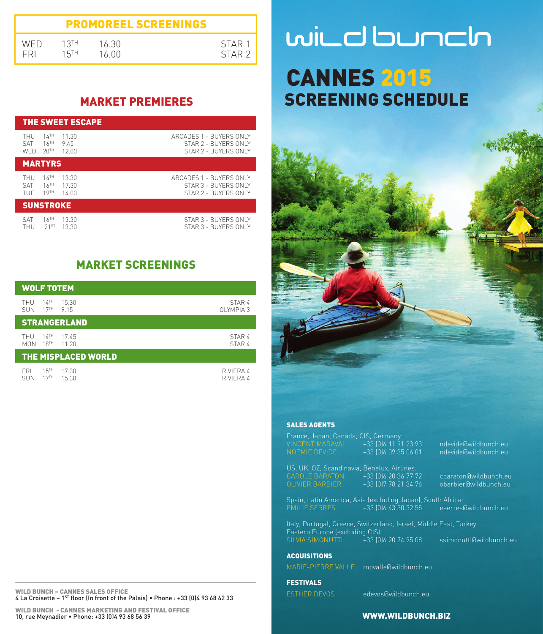| <b>PROMOREEL SCREENINGS</b> |      |       |                   |  |  |
|-----------------------------|------|-------|-------------------|--|--|
| WED                         | 12TH | 16.30 | STAR 1            |  |  |
| <b>FRI</b>                  | 15TH | 16 NO | STAR <sub>2</sub> |  |  |

# MARKET PREMIERES

| THE SWEET ESCAPE                                                                                                 |                                                                         |  |  |
|------------------------------------------------------------------------------------------------------------------|-------------------------------------------------------------------------|--|--|
| $14^{\text{TH}}$<br>11.30<br>THU<br>$16$ <sup>TH</sup><br>9.45<br><b>SAT</b><br>20 <sup>TH</sup><br>12.00<br>WFD | ARCADES 1 - BUYERS ONLY<br>STAR 2 - BUYERS ONLY<br>STAR 2 - BUYERS ONLY |  |  |
| <b>MARTYRS</b>                                                                                                   |                                                                         |  |  |
| $14$ <sup>TH</sup><br>13.30<br>THU<br>$16$ <sup>TH</sup><br>17.30<br><b>SAT</b><br>19TH<br>14.00<br>TUF          | ARCADES 1 - BUYERS ONLY<br>STAR 3 - BUYERS ONLY<br>STAR 2 - BUYERS ONLY |  |  |
| <b>SUNSTROKE</b>                                                                                                 |                                                                         |  |  |
| $16$ <sup>TH</sup><br>13.30<br>SAT<br>$21^{ST}$<br>13.30<br>THU                                                  | STAR 3 - BUYERS ONLY<br>STAR 3 - BUYERS ONLY                            |  |  |

# MARKET SCREENINGS

| <b>WOLF TOTEM</b>                                                               |                        |  |  |
|---------------------------------------------------------------------------------|------------------------|--|--|
| $14$ <sup>TH</sup><br>15.30<br>THU<br>17 <sup>TH</sup> 9 15<br><b>SUN</b>       | STAR 4<br>OI YMPIA 3   |  |  |
| <b>STRANGERLAND</b>                                                             |                        |  |  |
| $14$ <sup>TH</sup><br>THU<br>17.45<br>$18$ <sup>TH</sup><br>11 20<br><b>MON</b> | STAR 4<br>STAR 4       |  |  |
| <b>THE MISPLACED WORLD</b>                                                      |                        |  |  |
| 15 <sup>TH</sup><br><b>FRI</b><br>17.30<br>17 <sup>TH</sup><br>15.30<br>SUN     | RIVIFRA 4<br>RIVIFRA 4 |  |  |

WILD BUNCH – CANNES SALES OFFICE 4 La Croisette – 1ST floor (In front of the Palais) • Phone : +33 (0)4 93 68 62 33

# wild bunch CANNES 2015 SCREENING SCHEDULE



#### SALES AGENTS

VINCENT MARAVAL +33 (0)6 11 91 23 93 ndevide@wildbunch.eu NOEMIE DEVIDE +33 (0)6 09 35 06 01 ndevide@wildbunch.eu US, UK, OZ, Scandinavia, Benelux, Airlines:<br>CAROLE BARATON +33 (016 20 36 77 72)

CAROLE BARATON +33 (0)6 20 36 77 72 cbaraton@wildbunch.eu obarbier@wildbunch.eu

Spain, Latin America, Asia (excluding Japan), South Africa:

EMILIE SERRES HOLLAND AND SERVICE SERVICE SERVICE SERVICE SERVICE SERVER.

Italy, Portugal, Greece, Switzerland, Israel, Middle East, Turkey, Eastern Europe (excluding CIS):<br>Eastern Europe (excluding CIS):<br>SILVIA SIMONUTTI +33 (0)6 20 74 95 08

**ACQUISITIONS** 

MARIE-PIERRE VALLE mpvalle@wildbunch.eu

FESTIVALS

ESTHER DEVOS edevos@wildbunch.eu

ssimonutti@wildbunch.eu

#### WWW.WILDBUNCH.BIZ